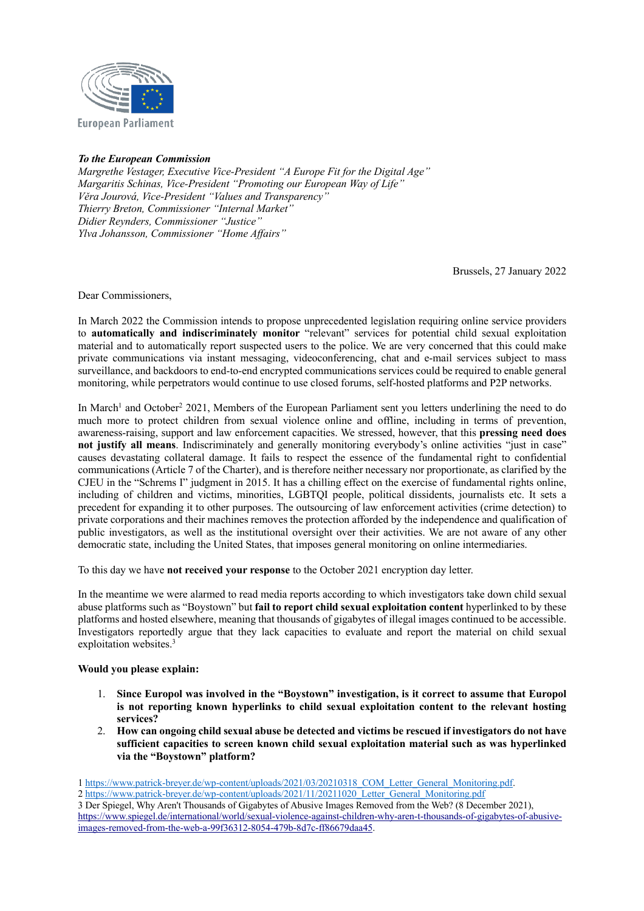

## *To the European Commission*

*Margrethe Vestager, Executive Vice-President "A Europe Fit for the Digital Age" Margaritis Schinas, Vice-President "Promoting our European Way of Life" Věra Jourová, Vice-President "Values and Transparency" Thierry Breton, Commissioner "Internal Market" Didier Reynders, Commissioner "Justice" Ylva Johansson, Commissioner "Home Affairs"*

Brussels, 27 January 2022

Dear Commissioners,

In March 2022 the Commission intends to propose unprecedented legislation requiring online service providers to **automatically and indiscriminately monitor** "relevant" services for potential child sexual exploitation material and to automatically report suspected users to the police. We are very concerned that this could make private communications via instant messaging, videoconferencing, chat and e-mail services subject to mass surveillance, and backdoors to end-to-end encrypted communications services could be required to enable general monitoring, while perpetrators would continue to use closed forums, self-hosted platforms and P2P networks.

In March<sup>1</sup> and October<sup>2</sup> 2021, Members of the European Parliament sent you letters underlining the need to do much more to protect children from sexual violence online and offline, including in terms of prevention, awareness-raising, support and law enforcement capacities. We stressed, however, that this **pressing need does not justify all means**. Indiscriminately and generally monitoring everybody's online activities "just in case" causes devastating collateral damage. It fails to respect the essence of the fundamental right to confidential communications (Article 7 of the Charter), and is therefore neither necessary nor proportionate, as clarified by the CJEU in the "Schrems I" judgment in 2015. It has a chilling effect on the exercise of fundamental rights online, including of children and victims, minorities, LGBTQI people, political dissidents, journalists etc. It sets a precedent for expanding it to other purposes. The outsourcing of law enforcement activities (crime detection) to private corporations and their machines removes the protection afforded by the independence and qualification of public investigators, as well as the institutional oversight over their activities. We are not aware of any other democratic state, including the United States, that imposes general monitoring on online intermediaries.

To this day we have **not received your response** to the October 2021 encryption day letter.

In the meantime we were alarmed to read media reports according to which investigators take down child sexual abuse platforms such as "Boystown" but **fail to report child sexual exploitation content** hyperlinked to by these platforms and hosted elsewhere, meaning that thousands of gigabytes of illegal images continued to be accessible. Investigators reportedly argue that they lack capacities to evaluate and report the material on child sexual exploitation websites.<sup>3</sup>

## **Would you please explain:**

- 1. **Since Europol was involved in the "Boystown" investigation, is it correct to assume that Europol is not reporting known hyperlinks to child sexual exploitation content to the relevant hosting services?**
- 2. **How can ongoing child sexual abuse be detected and victims be rescued if investigators do not have sufficient capacities to screen known child sexual exploitation material such as was hyperlinked via the "Boystown" platform?**

2 https://www.patrick-breyer.de/wp-content/uploads/2021/11/20211020\_Letter\_General\_Monitoring.pdf

<sup>1</sup> https://www.patrick-breyer.de/wp-content/uploads/2021/03/20210318\_COM\_Letter\_General\_Monitoring.pdf.

<sup>3</sup> Der Spiegel, Why Aren't Thousands of Gigabytes of Abusive Images Removed from the Web? (8 December 2021), https://www.spiegel.de/international/world/sexual-violence-against-children-why-aren-t-thousands-of-gigabytes-of-abusiveimages-removed-from-the-web-a-99f36312-8054-479b-8d7c-ff86679daa45.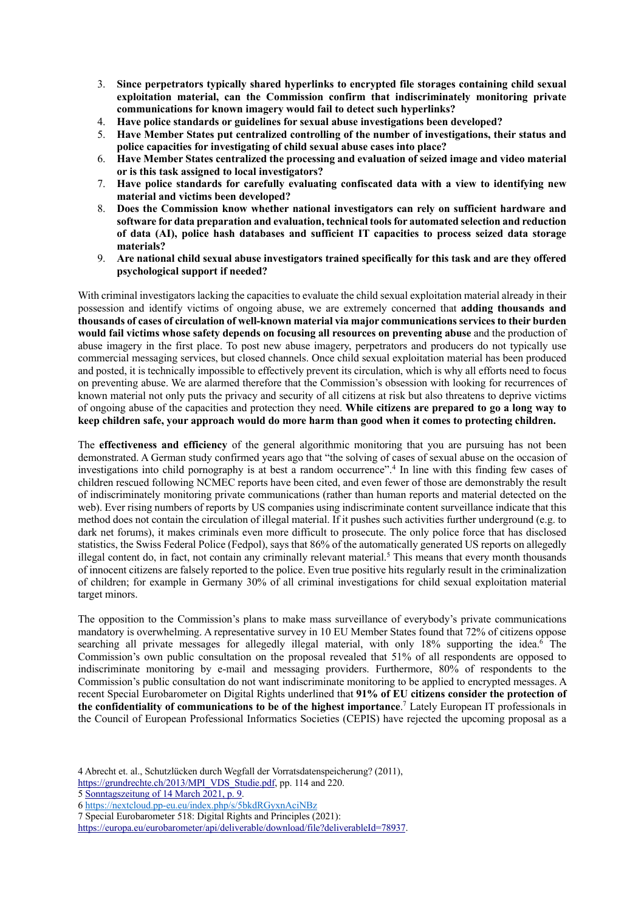- 3. **Since perpetrators typically shared hyperlinks to encrypted file storages containing child sexual exploitation material, can the Commission confirm that indiscriminately monitoring private communications for known imagery would fail to detect such hyperlinks?**
- 4. **Have police standards or guidelines for sexual abuse investigations been developed?**
- 5. **Have Member States put centralized controlling of the number of investigations, their status and police capacities for investigating of child sexual abuse cases into place?**
- 6. **Have Member States centralized the processing and evaluation of seized image and video material or is this task assigned to local investigators?**
- 7. **Have police standards for carefully evaluating confiscated data with a view to identifying new material and victims been developed?**
- 8. **Does the Commission know whether national investigators can rely on sufficient hardware and software for data preparation and evaluation, technical tools for automated selection and reduction of data (AI), police hash databases and sufficient IT capacities to process seized data storage materials?**
- 9. **Are national child sexual abuse investigators trained specifically for this task and are they offered psychological support if needed?**

With criminal investigators lacking the capacities to evaluate the child sexual exploitation material already in their possession and identify victims of ongoing abuse, we are extremely concerned that **adding thousands and thousands of cases of circulation of well-known material via major communications services to their burden would fail victims whose safety depends on focusing all resources on preventing abuse** and the production of abuse imagery in the first place. To post new abuse imagery, perpetrators and producers do not typically use commercial messaging services, but closed channels. Once child sexual exploitation material has been produced and posted, it is technically impossible to effectively prevent its circulation, which is why all efforts need to focus on preventing abuse. We are alarmed therefore that the Commission's obsession with looking for recurrences of known material not only puts the privacy and security of all citizens at risk but also threatens to deprive victims of ongoing abuse of the capacities and protection they need. **While citizens are prepared to go a long way to keep children safe, your approach would do more harm than good when it comes to protecting children.**

The **effectiveness and efficiency** of the general algorithmic monitoring that you are pursuing has not been demonstrated. A German study confirmed years ago that "the solving of cases of sexual abuse on the occasion of investigations into child pornography is at best a random occurrence".4 In line with this finding few cases of children rescued following NCMEC reports have been cited, and even fewer of those are demonstrably the result of indiscriminately monitoring private communications (rather than human reports and material detected on the web). Ever rising numbers of reports by US companies using indiscriminate content surveillance indicate that this method does not contain the circulation of illegal material. If it pushes such activities further underground (e.g. to dark net forums), it makes criminals even more difficult to prosecute. The only police force that has disclosed statistics, the Swiss Federal Police (Fedpol), says that 86% of the automatically generated US reports on allegedly illegal content do, in fact, not contain any criminally relevant material.<sup>5</sup> This means that every month thousands of innocent citizens are falsely reported to the police. Even true positive hits regularly result in the criminalization of children; for example in Germany 30% of all criminal investigations for child sexual exploitation material target minors.

The opposition to the Commission's plans to make mass surveillance of everybody's private communications mandatory is overwhelming. A representative survey in 10 EU Member States found that 72% of citizens oppose searching all private messages for allegedly illegal material, with only 18% supporting the idea.<sup>6</sup> The Commission's own public consultation on the proposal revealed that 51% of all respondents are opposed to indiscriminate monitoring by e-mail and messaging providers. Furthermore, 80% of respondents to the Commission's public consultation do not want indiscriminate monitoring to be applied to encrypted messages. A recent Special Eurobarometer on Digital Rights underlined that **91% of EU citizens consider the protection of the confidentiality of communications to be of the highest importance**. <sup>7</sup> Lately European IT professionals in the Council of European Professional Informatics Societies (CEPIS) have rejected the upcoming proposal as a

7 Special Eurobarometer 518: Digital Rights and Principles (2021):

<sup>4</sup> Abrecht et. al., Schutzlücken durch Wegfall der Vorratsdatenspeicherung? (2011),

https://grundrechte.ch/2013/MPI\_VDS\_Studie.pdf, pp. 114 and 220.

<sup>5</sup> Sonntagszeitung of 14 March 2021, p. 9.

<sup>6</sup> https://nextcloud.pp-eu.eu/index.php/s/5bkdRGyxnAciNBz

https://europa.eu/eurobarometer/api/deliverable/download/file?deliverableId=78937.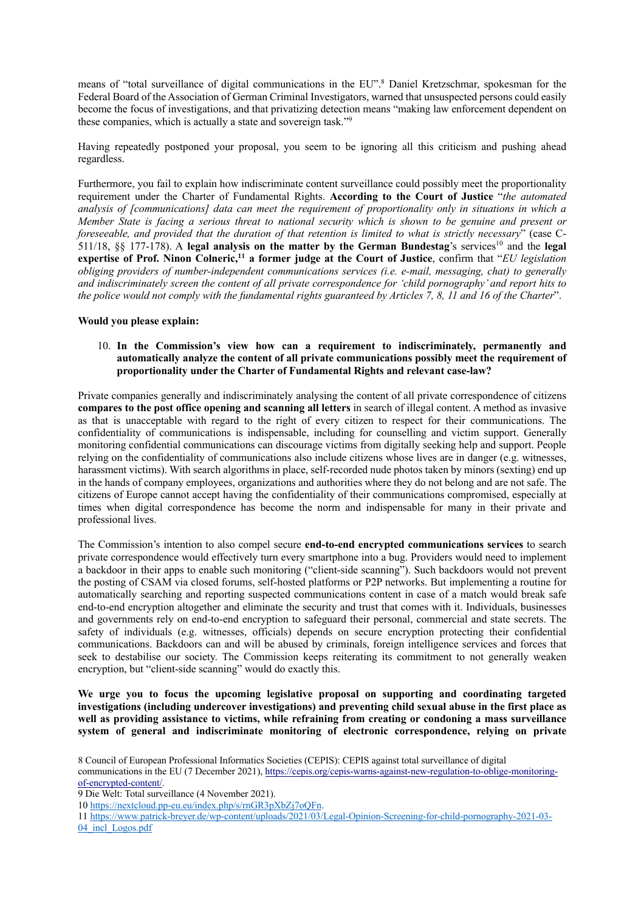means of "total surveillance of digital communications in the EU".8 Daniel Kretzschmar, spokesman for the Federal Board of the Association of German Criminal Investigators, warned that unsuspected persons could easily become the focus of investigations, and that privatizing detection means "making law enforcement dependent on these companies, which is actually a state and sovereign task."9

Having repeatedly postponed your proposal, you seem to be ignoring all this criticism and pushing ahead regardless.

Furthermore, you fail to explain how indiscriminate content surveillance could possibly meet the proportionality requirement under the Charter of Fundamental Rights. **According to the Court of Justice** "*the automated analysis of [communications] data can meet the requirement of proportionality only in situations in which a Member State is facing a serious threat to national security which is shown to be genuine and present or foreseeable, and provided that the duration of that retention is limited to what is strictly necessary*" (case C-511/18, §§ 177-178). A **legal analysis on the matter by the German Bundestag**'s services10 and the **legal expertise of Prof. Ninon Colneric,11 a former judge at the Court of Justice**, confirm that "*EU legislation obliging providers of number-independent communications services (i.e. e-mail, messaging, chat) to generally and indiscriminately screen the content of all private correspondence for 'child pornography' and report hits to the police would not comply with the fundamental rights guaranteed by Articles 7, 8, 11 and 16 of the Charter*".

## **Would you please explain:**

## 10. **In the Commission's view how can a requirement to indiscriminately, permanently and automatically analyze the content of all private communications possibly meet the requirement of proportionality under the Charter of Fundamental Rights and relevant case-law?**

Private companies generally and indiscriminately analysing the content of all private correspondence of citizens **compares to the post office opening and scanning all letters** in search of illegal content. A method as invasive as that is unacceptable with regard to the right of every citizen to respect for their communications. The confidentiality of communications is indispensable, including for counselling and victim support. Generally monitoring confidential communications can discourage victims from digitally seeking help and support. People relying on the confidentiality of communications also include citizens whose lives are in danger (e.g. witnesses, harassment victims). With search algorithms in place, self-recorded nude photos taken by minors (sexting) end up in the hands of company employees, organizations and authorities where they do not belong and are not safe. The citizens of Europe cannot accept having the confidentiality of their communications compromised, especially at times when digital correspondence has become the norm and indispensable for many in their private and professional lives.

The Commission's intention to also compel secure **end-to-end encrypted communications services** to search private correspondence would effectively turn every smartphone into a bug. Providers would need to implement a backdoor in their apps to enable such monitoring ("client-side scanning"). Such backdoors would not prevent the posting of CSAM via closed forums, self-hosted platforms or P2P networks. But implementing a routine for automatically searching and reporting suspected communications content in case of a match would break safe end-to-end encryption altogether and eliminate the security and trust that comes with it. Individuals, businesses and governments rely on end-to-end encryption to safeguard their personal, commercial and state secrets. The safety of individuals (e.g. witnesses, officials) depends on secure encryption protecting their confidential communications. Backdoors can and will be abused by criminals, foreign intelligence services and forces that seek to destabilise our society. The Commission keeps reiterating its commitment to not generally weaken encryption, but "client-side scanning" would do exactly this.

**We urge you to focus the upcoming legislative proposal on supporting and coordinating targeted investigations (including undercover investigations) and preventing child sexual abuse in the first place as well as providing assistance to victims, while refraining from creating or condoning a mass surveillance system of general and indiscriminate monitoring of electronic correspondence, relying on private** 

8 Council of European Professional Informatics Societies (CEPIS): CEPIS against total surveillance of digital communications in the EU (7 December 2021), https://cepis.org/cepis-warns-against-new-regulation-to-oblige-monitoringof-encrypted-content/.

9 Die Welt: Total surveillance (4 November 2021).

10 https://nextcloud.pp-eu.eu/index.php/s/rnGR3pXbZj7oQFn.

11 https://www.patrick-breyer.de/wp-content/uploads/2021/03/Legal-Opinion-Screening-for-child-pornography-2021-03- 04 incl Logos.pdf